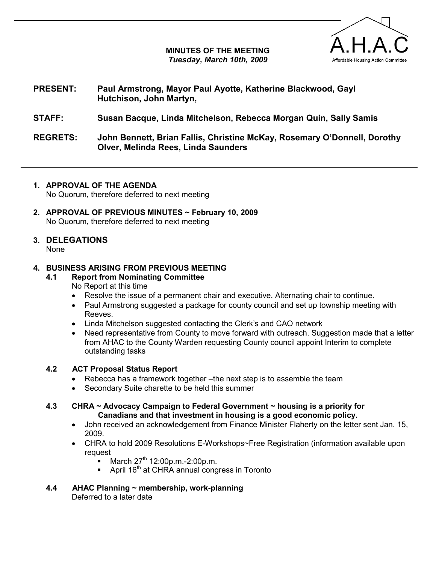# MINUTES OF THE MEETING Tuesday, March 10th, 2009



# PRESENT: Paul Armstrong, Mayor Paul Ayotte, Katherine Blackwood, Gayl Hutchison, John Martyn,

# STAFF: Susan Bacque, Linda Mitchelson, Rebecca Morgan Quin, Sally Samis

REGRETS: John Bennett, Brian Fallis, Christine McKay, Rosemary O'Donnell, Dorothy Olver, Melinda Rees, Linda Saunders

## 1. APPROVAL OF THE AGENDA

No Quorum, therefore deferred to next meeting

2. APPROVAL OF PREVIOUS MINUTES ~ February 10, 2009 No Quorum, therefore deferred to next meeting

#### 3. DELEGATIONS None

# 4. BUSINESS ARISING FROM PREVIOUS MEETING

- 4.1 Report from Nominating Committee No Report at this time
	- Resolve the issue of a permanent chair and executive. Alternating chair to continue.
	- Paul Armstrong suggested a package for county council and set up township meeting with Reeves.
	- Linda Mitchelson suggested contacting the Clerk's and CAO network
	- Need representative from County to move forward with outreach. Suggestion made that a letter from AHAC to the County Warden requesting County council appoint Interim to complete outstanding tasks

# 4.2 ACT Proposal Status Report

- Rebecca has a framework together –the next step is to assemble the team
- Secondary Suite charette to be held this summer
- 4.3 CHRA ~ Advocacy Campaign to Federal Government ~ housing is a priority for Canadians and that investment in housing is a good economic policy.
	- John received an acknowledgement from Finance Minister Flaherty on the letter sent Jan. 15, 2009.
	- CHRA to hold 2009 Resolutions E-Workshops~Free Registration (information available upon request
		- March 27<sup>th</sup> 12:00p.m.-2:00p.m.
		- April 16<sup>th</sup> at CHRA annual congress in Toronto
- 4.4 AHAC Planning ~ membership, work-planning Deferred to a later date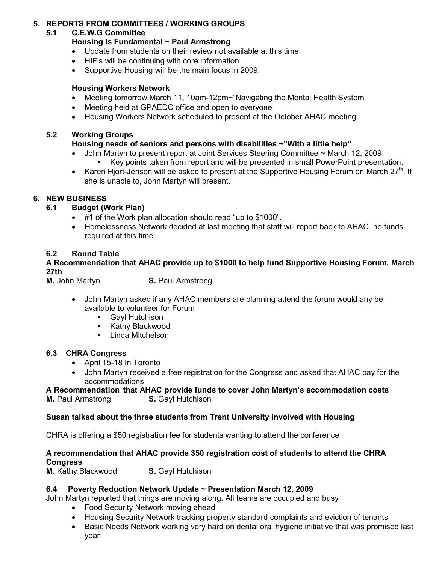# 5. REPORTS FROM COMMITTEES / WORKING GROUPS

# 5.1 C.E.W.G Committee

### Housing Is Fundamental ~ Paul Armstrong

- Update from students on their review not available at this time
- HIF's will be continuing with core information.
- Supportive Housing will be the main focus in 2009.

## Housing Workers Network

- Meeting tomorrow March 11, 10am-12pm~"Navigating the Mental Health System"
- Meeting held at GPAEDC office and open to everyone
- Housing Workers Network scheduled to present at the October AHAC meeting

### 5.2 Working Groups

# Housing needs of seniors and persons with disabilities ~"With a little help"

- John Martyn to present report at Joint Services Steering Committee ~ March 12, 2009 Key points taken from report and will be presented in small PowerPoint presentation.
- Karen Hjort-Jensen will be asked to present at the Supportive Housing Forum on March 27<sup>th</sup>. If she is unable to, John Martyn will present.

## 6. NEW BUSINESS

- 6.1 Budget (Work Plan)
	- #1 of the Work plan allocation should read "up to \$1000".
	- Homelessness Network decided at last meeting that staff will report back to AHAC, no funds required at this time.

## 6.2 Round Table

A Recommendation that AHAC provide up to \$1000 to help fund Supportive Housing Forum, March 27th

**M.** John Martyn **S. Paul Armstrong** 

- John Martyn asked if any AHAC members are planning attend the forum would any be available to volunteer for Forum
	- **Gayl Hutchison**
	- **Kathy Blackwood**
	- **-** Linda Mitchelson

### 6.3 CHRA Congress

- April 15-18 In Toronto
- John Martyn received a free registration for the Congress and asked that AHAC pay for the accommodations

#### A Recommendation that AHAC provide funds to cover John Martyn's accommodation costs **M.** Paul Armstrong **S. Gayl Hutchison**

### Susan talked about the three students from Trent University involved with Housing

CHRA is offering a \$50 registration fee for students wanting to attend the conference

### A recommendation that AHAC provide \$50 registration cost of students to attend the CHRA **Congress**

**M.** Kathy Blackwood **S. Gayl Hutchison** 

### 6.4 Poverty Reduction Network Update ~ Presentation March 12, 2009

John Martyn reported that things are moving along. All teams are occupied and busy

- Food Security Network moving ahead
- Housing Security Network tracking property standard complaints and eviction of tenants
- Basic Needs Network working very hard on dental oral hygiene initiative that was promised last year